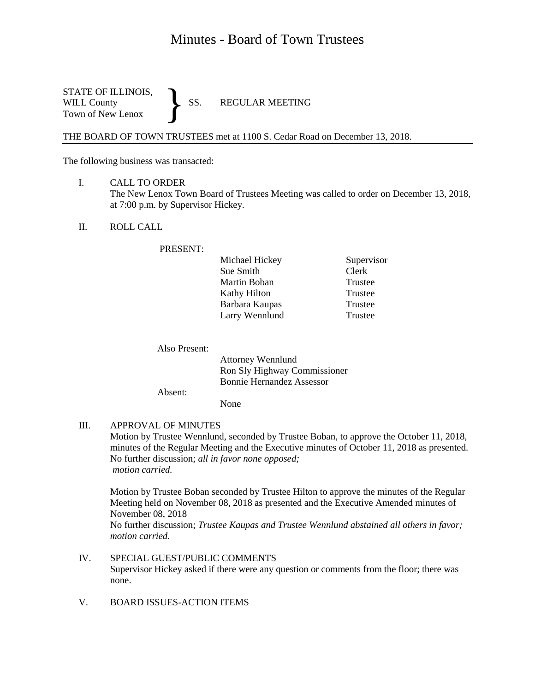# Minutes - Board of Town Trustees

STATE OF ILLINOIS,<br>WILL County SS. WILL County SS. REGULAR MEETING Town of New Lenox }

THE BOARD OF TOWN TRUSTEES met at 1100 S. Cedar Road on December 13, 2018.

The following business was transacted:

- I. CALL TO ORDER The New Lenox Town Board of Trustees Meeting was called to order on December 13, 2018, at 7:00 p.m. by Supervisor Hickey.
- II. ROLL CALL

#### PRESENT:

| Michael Hickey | Supervisor |  |  |
|----------------|------------|--|--|
| Sue Smith      | Clerk      |  |  |
| Martin Boban   | Trustee    |  |  |
| Kathy Hilton   | Trustee    |  |  |
| Barbara Kaupas | Trustee    |  |  |
| Larry Wennlund | Trustee    |  |  |

Also Present:

Attorney Wennlund Ron Sly Highway Commissioner Bonnie Hernandez Assessor

Absent:

None

## III. APPROVAL OF MINUTES

Motion by Trustee Wennlund, seconded by Trustee Boban, to approve the October 11, 2018, minutes of the Regular Meeting and the Executive minutes of October 11, 2018 as presented. No further discussion; *all in favor none opposed; motion carried.*

Motion by Trustee Boban seconded by Trustee Hilton to approve the minutes of the Regular Meeting held on November 08, 2018 as presented and the Executive Amended minutes of November 08, 2018

No further discussion; *Trustee Kaupas and Trustee Wennlund abstained all others in favor; motion carried.*

- IV. SPECIAL GUEST/PUBLIC COMMENTS Supervisor Hickey asked if there were any question or comments from the floor; there was none.
- V. BOARD ISSUES-ACTION ITEMS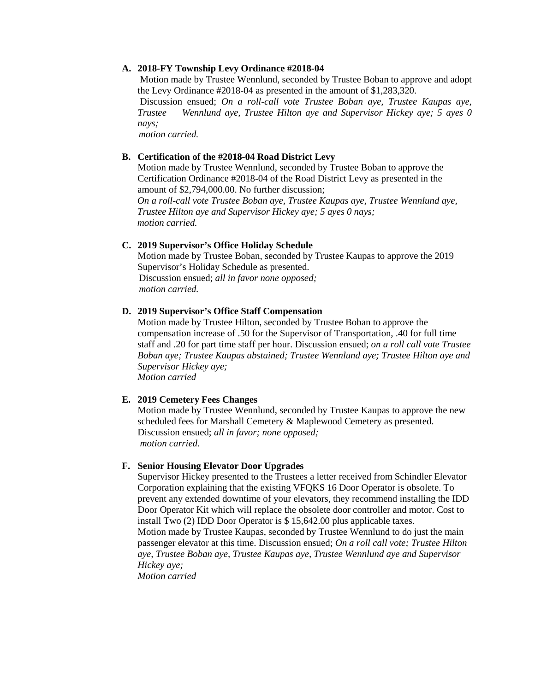## **A. 2018-FY Township Levy Ordinance #2018-04**

Motion made by Trustee Wennlund, seconded by Trustee Boban to approve and adopt the Levy Ordinance #2018-04 as presented in the amount of \$1,283,320.

Discussion ensued; *On a roll-call vote Trustee Boban aye, Trustee Kaupas aye, Trustee Wennlund aye, Trustee Hilton aye and Supervisor Hickey aye; 5 ayes 0 nays;*

 *motion carried.*

#### **B. Certification of the #2018-04 Road District Levy**

Motion made by Trustee Wennlund, seconded by Trustee Boban to approve the Certification Ordinance #2018-04 of the Road District Levy as presented in the amount of \$2,794,000.00. No further discussion;

 *On a roll-call vote Trustee Boban aye, Trustee Kaupas aye, Trustee Wennlund aye, Trustee Hilton aye and Supervisor Hickey aye; 5 ayes 0 nays; motion carried.*

#### **C. 2019 Supervisor's Office Holiday Schedule**

Motion made by Trustee Boban, seconded by Trustee Kaupas to approve the 2019 Supervisor's Holiday Schedule as presented. Discussion ensued; *all in favor none opposed; motion carried.*

### **D. 2019 Supervisor's Office Staff Compensation**

Motion made by Trustee Hilton, seconded by Trustee Boban to approve the compensation increase of .50 for the Supervisor of Transportation, .40 for full time staff and .20 for part time staff per hour. Discussion ensued; *on a roll call vote Trustee Boban aye; Trustee Kaupas abstained; Trustee Wennlund aye; Trustee Hilton aye and Supervisor Hickey aye; Motion carried* 

#### **E. 2019 Cemetery Fees Changes**

Motion made by Trustee Wennlund, seconded by Trustee Kaupas to approve the new scheduled fees for Marshall Cemetery & Maplewood Cemetery as presented. Discussion ensued; *all in favor; none opposed; motion carried.*

## **F. Senior Housing Elevator Door Upgrades**

Supervisor Hickey presented to the Trustees a letter received from Schindler Elevator Corporation explaining that the existing VFQKS 16 Door Operator is obsolete. To prevent any extended downtime of your elevators, they recommend installing the IDD Door Operator Kit which will replace the obsolete door controller and motor. Cost to install Two (2) IDD Door Operator is \$ 15,642.00 plus applicable taxes.

Motion made by Trustee Kaupas, seconded by Trustee Wennlund to do just the main passenger elevator at this time. Discussion ensued; *On a roll call vote; Trustee Hilton aye, Trustee Boban aye, Trustee Kaupas aye, Trustee Wennlund aye and Supervisor Hickey aye;* 

*Motion carried*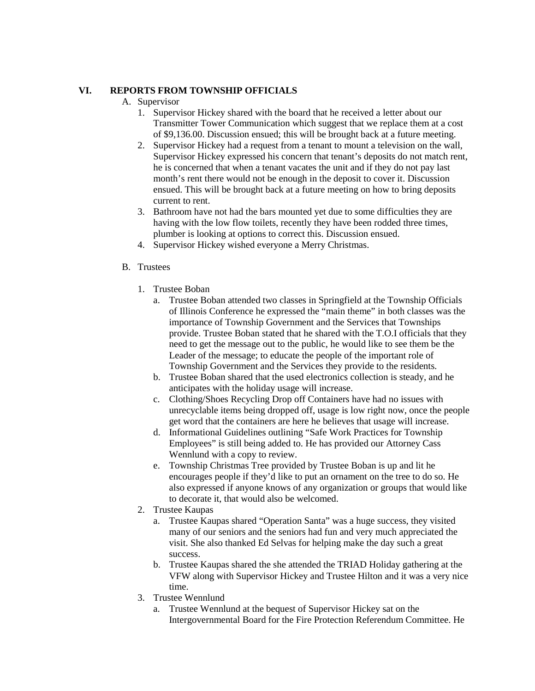# **VI. REPORTS FROM TOWNSHIP OFFICIALS**

# A. Supervisor

- 1. Supervisor Hickey shared with the board that he received a letter about our Transmitter Tower Communication which suggest that we replace them at a cost of \$9,136.00. Discussion ensued; this will be brought back at a future meeting.
- 2. Supervisor Hickey had a request from a tenant to mount a television on the wall, Supervisor Hickey expressed his concern that tenant's deposits do not match rent, he is concerned that when a tenant vacates the unit and if they do not pay last month's rent there would not be enough in the deposit to cover it. Discussion ensued. This will be brought back at a future meeting on how to bring deposits current to rent.
- 3. Bathroom have not had the bars mounted yet due to some difficulties they are having with the low flow toilets, recently they have been rodded three times, plumber is looking at options to correct this. Discussion ensued.
- 4. Supervisor Hickey wished everyone a Merry Christmas.
- B. Trustees
	- 1. Trustee Boban
		- a. Trustee Boban attended two classes in Springfield at the Township Officials of Illinois Conference he expressed the "main theme" in both classes was the importance of Township Government and the Services that Townships provide. Trustee Boban stated that he shared with the T.O.I officials that they need to get the message out to the public, he would like to see them be the Leader of the message; to educate the people of the important role of Township Government and the Services they provide to the residents.
		- b. Trustee Boban shared that the used electronics collection is steady, and he anticipates with the holiday usage will increase.
		- c. Clothing/Shoes Recycling Drop off Containers have had no issues with unrecyclable items being dropped off, usage is low right now, once the people get word that the containers are here he believes that usage will increase.
		- d. Informational Guidelines outlining "Safe Work Practices for Township Employees" is still being added to. He has provided our Attorney Cass Wennlund with a copy to review.
		- e. Township Christmas Tree provided by Trustee Boban is up and lit he encourages people if they'd like to put an ornament on the tree to do so. He also expressed if anyone knows of any organization or groups that would like to decorate it, that would also be welcomed.
	- 2. Trustee Kaupas
		- a. Trustee Kaupas shared "Operation Santa" was a huge success, they visited many of our seniors and the seniors had fun and very much appreciated the visit. She also thanked Ed Selvas for helping make the day such a great success.
		- b. Trustee Kaupas shared the she attended the TRIAD Holiday gathering at the VFW along with Supervisor Hickey and Trustee Hilton and it was a very nice time.
	- 3. Trustee Wennlund
		- a. Trustee Wennlund at the bequest of Supervisor Hickey sat on the Intergovernmental Board for the Fire Protection Referendum Committee. He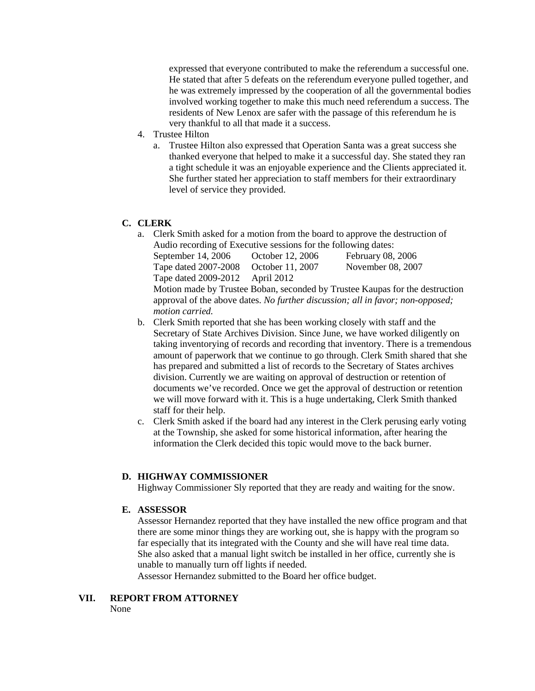expressed that everyone contributed to make the referendum a successful one. He stated that after 5 defeats on the referendum everyone pulled together, and he was extremely impressed by the cooperation of all the governmental bodies involved working together to make this much need referendum a success. The residents of New Lenox are safer with the passage of this referendum he is very thankful to all that made it a success.

- 4. Trustee Hilton
	- a. Trustee Hilton also expressed that Operation Santa was a great success she thanked everyone that helped to make it a successful day. She stated they ran a tight schedule it was an enjoyable experience and the Clients appreciated it. She further stated her appreciation to staff members for their extraordinary level of service they provided.

# **C. CLERK**

a. Clerk Smith asked for a motion from the board to approve the destruction of Audio recording of Executive sessions for the following dates:

| September 14, 2006              | October 12, 2006 | <b>February 08, 2006</b> |  |
|---------------------------------|------------------|--------------------------|--|
| Tape dated 2007-2008            | October 11, 2007 | November 08, 2007        |  |
| Tape dated 2009-2012 April 2012 |                  |                          |  |
|                                 |                  |                          |  |

Motion made by Trustee Boban, seconded by Trustee Kaupas for the destruction approval of the above dates. *No further discussion; all in favor; non-opposed; motion carried.*

- b. Clerk Smith reported that she has been working closely with staff and the Secretary of State Archives Division. Since June, we have worked diligently on taking inventorying of records and recording that inventory. There is a tremendous amount of paperwork that we continue to go through. Clerk Smith shared that she has prepared and submitted a list of records to the Secretary of States archives division. Currently we are waiting on approval of destruction or retention of documents we've recorded. Once we get the approval of destruction or retention we will move forward with it. This is a huge undertaking, Clerk Smith thanked staff for their help.
- c. Clerk Smith asked if the board had any interest in the Clerk perusing early voting at the Township, she asked for some historical information, after hearing the information the Clerk decided this topic would move to the back burner.

## **D. HIGHWAY COMMISSIONER**

Highway Commissioner Sly reported that they are ready and waiting for the snow.

# **E. ASSESSOR**

Assessor Hernandez reported that they have installed the new office program and that there are some minor things they are working out, she is happy with the program so far especially that its integrated with the County and she will have real time data. She also asked that a manual light switch be installed in her office, currently she is unable to manually turn off lights if needed.

Assessor Hernandez submitted to the Board her office budget.

# **VII. REPORT FROM ATTORNEY**

None